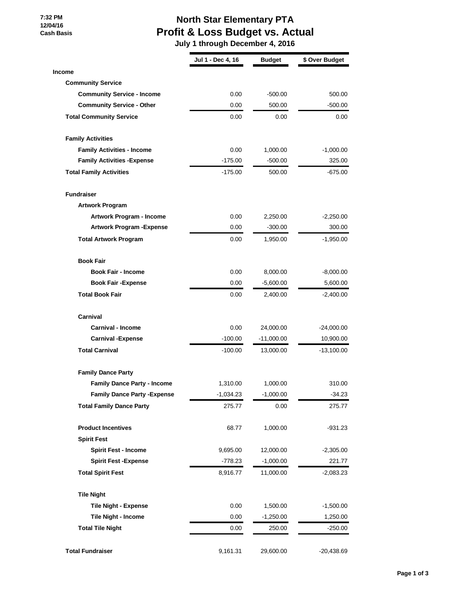**7:32 PM 12/04/16 Cash Basis**

### **North Star Elementary PTA Profit & Loss Budget vs. Actual**

 **July 1 through December 4, 2016**

|                                     | Jul 1 - Dec 4, 16 | <b>Budget</b> | \$ Over Budget |
|-------------------------------------|-------------------|---------------|----------------|
| <b>Income</b>                       |                   |               |                |
| <b>Community Service</b>            |                   |               |                |
| <b>Community Service - Income</b>   | 0.00              | $-500.00$     | 500.00         |
| <b>Community Service - Other</b>    | 0.00              | 500.00        | -500.00        |
| <b>Total Community Service</b>      | 0.00              | 0.00          | 0.00           |
| <b>Family Activities</b>            |                   |               |                |
| <b>Family Activities - Income</b>   | 0.00              | 1,000.00      | $-1,000.00$    |
| <b>Family Activities - Expense</b>  | $-175.00$         | $-500.00$     | 325.00         |
| <b>Total Family Activities</b>      | $-175.00$         | 500.00        | -675.00        |
| <b>Fundraiser</b>                   |                   |               |                |
| <b>Artwork Program</b>              |                   |               |                |
| Artwork Program - Income            | 0.00              | 2,250.00      | $-2,250.00$    |
| <b>Artwork Program - Expense</b>    | 0.00              | $-300.00$     | 300.00         |
| <b>Total Artwork Program</b>        | 0.00              | 1,950.00      | -1,950.00      |
| <b>Book Fair</b>                    |                   |               |                |
| <b>Book Fair - Income</b>           | 0.00              | 8,000.00      | $-8,000.00$    |
| <b>Book Fair -Expense</b>           | 0.00              | $-5,600.00$   | 5,600.00       |
| <b>Total Book Fair</b>              | 0.00              | 2,400.00      | -2,400.00      |
| Carnival                            |                   |               |                |
| <b>Carnival - Income</b>            | 0.00              | 24,000.00     | $-24,000.00$   |
| <b>Carnival -Expense</b>            | $-100.00$         | $-11,000.00$  | 10,900.00      |
| <b>Total Carnival</b>               | $-100.00$         | 13,000.00     | $-13,100.00$   |
| <b>Family Dance Party</b>           |                   |               |                |
| <b>Family Dance Party - Income</b>  | 1,310.00          | 1,000.00      | 310.00         |
| <b>Family Dance Party - Expense</b> | -1,034.23         | -1,000.00     | $-34.23$       |
| <b>Total Family Dance Party</b>     | 275.77            | 0.00          | 275.77         |
| <b>Product Incentives</b>           | 68.77             | 1,000.00      | -931.23        |
| <b>Spirit Fest</b>                  |                   |               |                |
| <b>Spirit Fest - Income</b>         | 9,695.00          | 12,000.00     | $-2,305.00$    |
| <b>Spirit Fest -Expense</b>         | $-778.23$         | $-1,000.00$   | 221.77         |
| <b>Total Spirit Fest</b>            | 8,916.77          | 11,000.00     | -2,083.23      |
| <b>Tile Night</b>                   |                   |               |                |
| <b>Tile Night - Expense</b>         | 0.00              | 1,500.00      | $-1,500.00$    |
| Tile Night - Income                 | 0.00              | $-1,250.00$   | 1,250.00       |
| <b>Total Tile Night</b>             | 0.00              | 250.00        | -250.00        |
| <b>Total Fundraiser</b>             | 9,161.31          | 29,600.00     | $-20,438.69$   |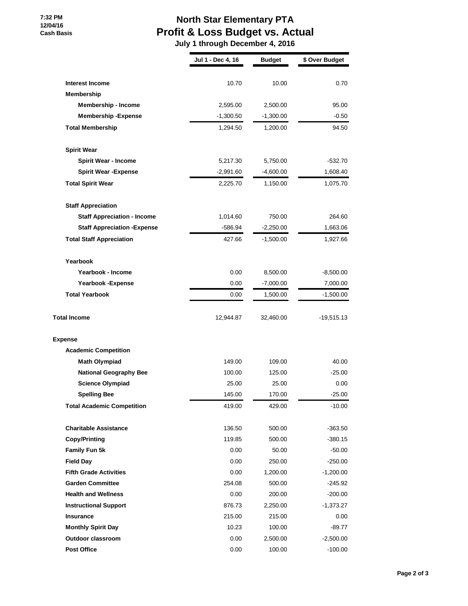#### **7:32 PM 12/04/16 Cash Basis**

## **North Star Elementary PTA Profit & Loss Budget vs. Actual**

 **July 1 through December 4, 2016**

|                                     | Jul 1 - Dec 4, 16 | <b>Budget</b> | \$ Over Budget |
|-------------------------------------|-------------------|---------------|----------------|
| Interest Income                     | 10.70             | 10.00         | 0.70           |
| Membership                          |                   |               |                |
| <b>Membership - Income</b>          | 2,595.00          | 2,500.00      | 95.00          |
| <b>Membership - Expense</b>         | $-1,300.50$       | $-1,300.00$   | $-0.50$        |
| <b>Total Membership</b>             | 1,294.50          | 1,200.00      | 94.50          |
| <b>Spirit Wear</b>                  |                   |               |                |
| <b>Spirit Wear - Income</b>         | 5,217.30          | 5,750.00      | $-532.70$      |
| <b>Spirit Wear - Expense</b>        | $-2,991.60$       | $-4,600.00$   | 1,608.40       |
| <b>Total Spirit Wear</b>            | 2,225.70          | 1,150.00      | 1,075.70       |
| <b>Staff Appreciation</b>           |                   |               |                |
| <b>Staff Appreciation - Income</b>  | 1,014.60          | 750.00        | 264.60         |
| <b>Staff Appreciation - Expense</b> | -586.94           | $-2,250.00$   | 1,663.06       |
| <b>Total Staff Appreciation</b>     | 427.66            | -1,500.00     | 1,927.66       |
| Yearbook                            |                   |               |                |
| Yearbook - Income                   | 0.00              | 8,500.00      | $-8,500.00$    |
| <b>Yearbook - Expense</b>           | 0.00              | $-7,000.00$   | 7,000.00       |
| <b>Total Yearbook</b>               | 0.00              | 1,500.00      | $-1,500.00$    |
| <b>Total Income</b>                 | 12,944.87         | 32,460.00     | -19,515.13     |
| <b>Expense</b>                      |                   |               |                |
| <b>Academic Competition</b>         |                   |               |                |
| <b>Math Olympiad</b>                | 149.00            | 109.00        | 40.00          |
| <b>National Geography Bee</b>       | 100.00            | 125.00        | $-25.00$       |
| <b>Science Olympiad</b>             | 25.00             | 25.00         | 0.00           |
| <b>Spelling Bee</b>                 | 145.00            | 170.00        | $-25.00$       |
| <b>Total Academic Competition</b>   | 419.00            | 429.00        | $-10.00$       |
| <b>Charitable Assistance</b>        | 136.50            | 500.00        | $-363.50$      |
| <b>Copy/Printing</b>                | 119.85            | 500.00        | $-380.15$      |
| Family Fun 5k                       | 0.00              | 50.00         | -50.00         |
| <b>Field Day</b>                    | 0.00              | 250.00        | $-250.00$      |
| <b>Fifth Grade Activities</b>       | 0.00              | 1,200.00      | $-1,200.00$    |
| <b>Garden Committee</b>             | 254.08            | 500.00        | $-245.92$      |
| <b>Health and Wellness</b>          | 0.00              | 200.00        | -200.00        |
| <b>Instructional Support</b>        | 876.73            | 2,250.00      | $-1,373.27$    |
| Insurance                           | 215.00            | 215.00        | 0.00           |
| <b>Monthly Spirit Day</b>           | 10.23             | 100.00        | $-89.77$       |
| <b>Outdoor classroom</b>            | 0.00              | 2,500.00      | $-2,500.00$    |
| <b>Post Office</b>                  | 0.00              | 100.00        | $-100.00$      |